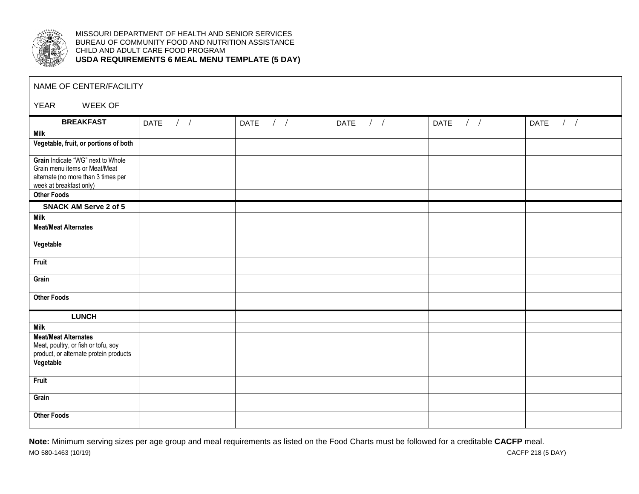

MISSOURI DEPARTMENT OF HEALTH AND SENIOR SERVICES BUREAU OF COMMUNITY FOOD AND NUTRITION ASSISTANCE CHILD AND ADULT CARE FOOD PROGRAM **USDA REQUIREMENTS 6 MEAL MENU TEMPLATE (5 DAY)**

| NAME OF CENTER/FACILITY                                                                                                              |                      |      |                    |                        |      |  |  |  |
|--------------------------------------------------------------------------------------------------------------------------------------|----------------------|------|--------------------|------------------------|------|--|--|--|
| <b>YEAR</b><br>WEEK OF                                                                                                               |                      |      |                    |                        |      |  |  |  |
| <b>BREAKFAST</b>                                                                                                                     | $/$ /<br><b>DATE</b> | DATE | DATE<br>$\sqrt{2}$ | <b>DATE</b><br>$/$ $/$ | DATE |  |  |  |
| <b>Milk</b>                                                                                                                          |                      |      |                    |                        |      |  |  |  |
| Vegetable, fruit, or portions of both                                                                                                |                      |      |                    |                        |      |  |  |  |
| Grain Indicate "WG" next to Whole<br>Grain menu items or Meat/Meat<br>alternate (no more than 3 times per<br>week at breakfast only) |                      |      |                    |                        |      |  |  |  |
| <b>Other Foods</b>                                                                                                                   |                      |      |                    |                        |      |  |  |  |
| <b>SNACK AM Serve 2 of 5</b>                                                                                                         |                      |      |                    |                        |      |  |  |  |
| Milk                                                                                                                                 |                      |      |                    |                        |      |  |  |  |
| <b>Meat/Meat Alternates</b>                                                                                                          |                      |      |                    |                        |      |  |  |  |
| Vegetable                                                                                                                            |                      |      |                    |                        |      |  |  |  |
| Fruit                                                                                                                                |                      |      |                    |                        |      |  |  |  |
| Grain                                                                                                                                |                      |      |                    |                        |      |  |  |  |
| <b>Other Foods</b>                                                                                                                   |                      |      |                    |                        |      |  |  |  |
| <b>LUNCH</b>                                                                                                                         |                      |      |                    |                        |      |  |  |  |
| <b>Milk</b>                                                                                                                          |                      |      |                    |                        |      |  |  |  |
| <b>Meat/Meat Alternates</b><br>Meat, poultry, or fish or tofu, soy<br>product, or alternate protein products                         |                      |      |                    |                        |      |  |  |  |
| Vegetable                                                                                                                            |                      |      |                    |                        |      |  |  |  |
| Fruit                                                                                                                                |                      |      |                    |                        |      |  |  |  |
| Grain                                                                                                                                |                      |      |                    |                        |      |  |  |  |
| <b>Other Foods</b>                                                                                                                   |                      |      |                    |                        |      |  |  |  |

MO 580-1463 (10/19) CACFP 218 (5 DAY) **Note:** Minimum serving sizes per age group and meal requirements as listed on the Food Charts must be followed for a creditable **CACFP** meal.